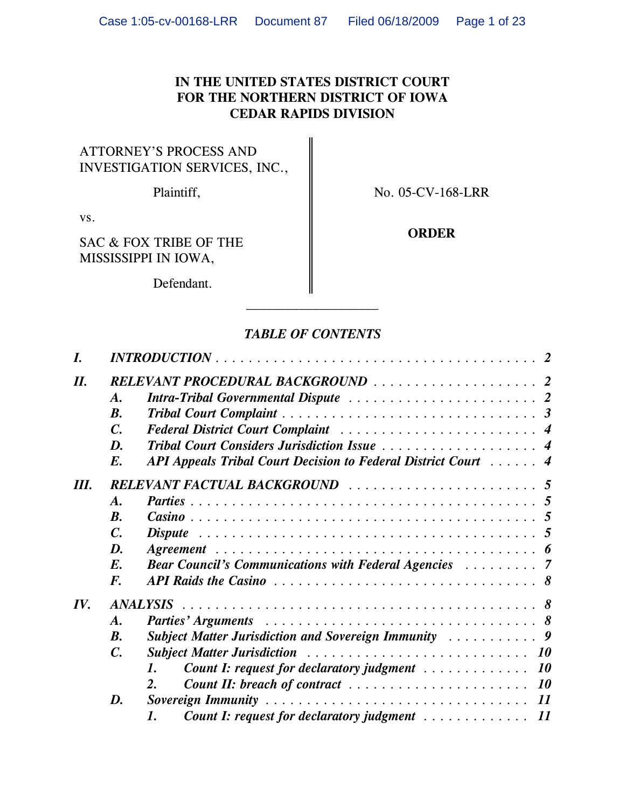# **IN THE UNITED STATES DISTRICT COURT FOR THE NORTHERN DISTRICT OF IOWA CEDAR RAPIDS DIVISION**

# ATTORNEY'S PROCESS AND INVESTIGATION SERVICES, INC.,

Plaintiff,  $\parallel$  No. 05-CV-168-LRR

vs.

SAC & FOX TRIBE OF THE **ORDER** MISSISSIPPI IN IOWA,

Defendant.

# *TABLE OF CONTENTS*

| I.  | $INTRODUCTION \ldots \ldots \ldots \ldots \ldots \ldots \ldots \ldots \ldots \ldots \ldots \ldots 2$ |                                                                                                              |  |  |  |  |  |
|-----|------------------------------------------------------------------------------------------------------|--------------------------------------------------------------------------------------------------------------|--|--|--|--|--|
| II. |                                                                                                      |                                                                                                              |  |  |  |  |  |
|     | $\boldsymbol{A}$ .                                                                                   |                                                                                                              |  |  |  |  |  |
|     | $\mathbf{B}$ .                                                                                       |                                                                                                              |  |  |  |  |  |
|     | $\mathcal{C}$ .                                                                                      |                                                                                                              |  |  |  |  |  |
|     | D.                                                                                                   |                                                                                                              |  |  |  |  |  |
|     | $E_{\cdot}$                                                                                          | API Appeals Tribal Court Decision to Federal District Court  4                                               |  |  |  |  |  |
| Ш.  |                                                                                                      |                                                                                                              |  |  |  |  |  |
|     | $\boldsymbol{A}$ .                                                                                   |                                                                                                              |  |  |  |  |  |
|     | $\boldsymbol{B}$ .                                                                                   |                                                                                                              |  |  |  |  |  |
|     | $\mathcal{C}$ .                                                                                      | Dispute $\ldots \ldots \ldots \ldots \ldots \ldots \ldots \ldots \ldots \ldots \ldots \ldots \ldots \quad 5$ |  |  |  |  |  |
|     | D.                                                                                                   |                                                                                                              |  |  |  |  |  |
|     | $E_{\cdot}$                                                                                          | <b>Bear Council's Communications with Federal Agencies Action Acts</b>                                       |  |  |  |  |  |
|     | $\boldsymbol{F}$ .                                                                                   |                                                                                                              |  |  |  |  |  |
| IV. |                                                                                                      |                                                                                                              |  |  |  |  |  |
|     | $\boldsymbol{A}$ .                                                                                   |                                                                                                              |  |  |  |  |  |
|     | <b>B.</b>                                                                                            |                                                                                                              |  |  |  |  |  |
|     | $\mathcal{C}$ .                                                                                      |                                                                                                              |  |  |  |  |  |
|     |                                                                                                      | <b>Count I: request for declaratory judgment</b> 10<br>1.                                                    |  |  |  |  |  |
|     |                                                                                                      | <b>Count II:</b> breach of contract $\ldots \ldots \ldots \ldots \ldots \ldots \ldots \ldots$<br>2.          |  |  |  |  |  |
|     | D.                                                                                                   |                                                                                                              |  |  |  |  |  |
|     |                                                                                                      | <b>Count I: request for declaratory judgment</b> 11<br>1.                                                    |  |  |  |  |  |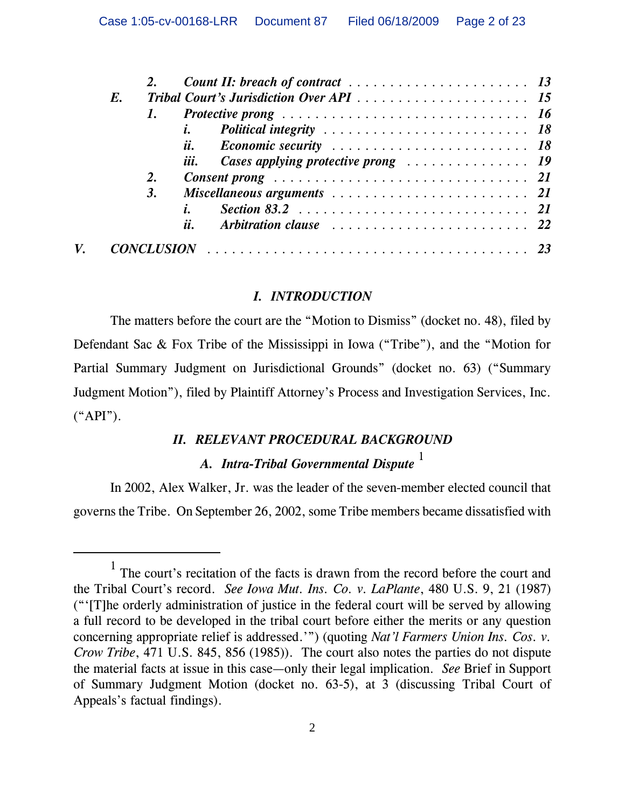|  | $E_{\cdot}$ |    |     |                                                                                   |  |
|--|-------------|----|-----|-----------------------------------------------------------------------------------|--|
|  |             |    |     |                                                                                   |  |
|  |             |    |     |                                                                                   |  |
|  |             |    | ii. |                                                                                   |  |
|  |             |    |     |                                                                                   |  |
|  |             | 2. |     | Consent prong $\ldots \ldots \ldots \ldots \ldots \ldots \ldots \ldots \ldots 21$ |  |
|  |             | 3. |     |                                                                                   |  |
|  |             |    |     |                                                                                   |  |
|  |             |    | ii. |                                                                                   |  |
|  |             |    |     |                                                                                   |  |

# *I. INTRODUCTION*

The matters before the court are the "Motion to Dismiss" (docket no. 48), filed by Defendant Sac & Fox Tribe of the Mississippi in Iowa ("Tribe"), and the "Motion for Partial Summary Judgment on Jurisdictional Grounds" (docket no. 63) ("Summary Judgment Motion"), filed by Plaintiff Attorney's Process and Investigation Services, Inc.  $(*API").$ 

# *II. RELEVANT PROCEDURAL BACKGROUND A. Intra-Tribal Governmental Dispute*<sup>1</sup>

In 2002, Alex Walker, Jr. was the leader of the seven-member elected council that governs the Tribe. On September 26, 2002, some Tribe members became dissatisfied with

<sup>1</sup> The court's recitation of the facts is drawn from the record before the court and the Tribal Court's record. *See Iowa Mut. Ins. Co. v. LaPlante*, 480 U.S. 9, 21 (1987) ("'[T]he orderly administration of justice in the federal court will be served by allowing a full record to be developed in the tribal court before either the merits or any question concerning appropriate relief is addressed.'") (quoting *Nat'l Farmers Union Ins. Cos. v. Crow Tribe*, 471 U.S. 845, 856 (1985)). The court also notes the parties do not dispute the material facts at issue in this case—only their legal implication. *See* Brief in Support of Summary Judgment Motion (docket no. 63-5), at 3 (discussing Tribal Court of Appeals's factual findings).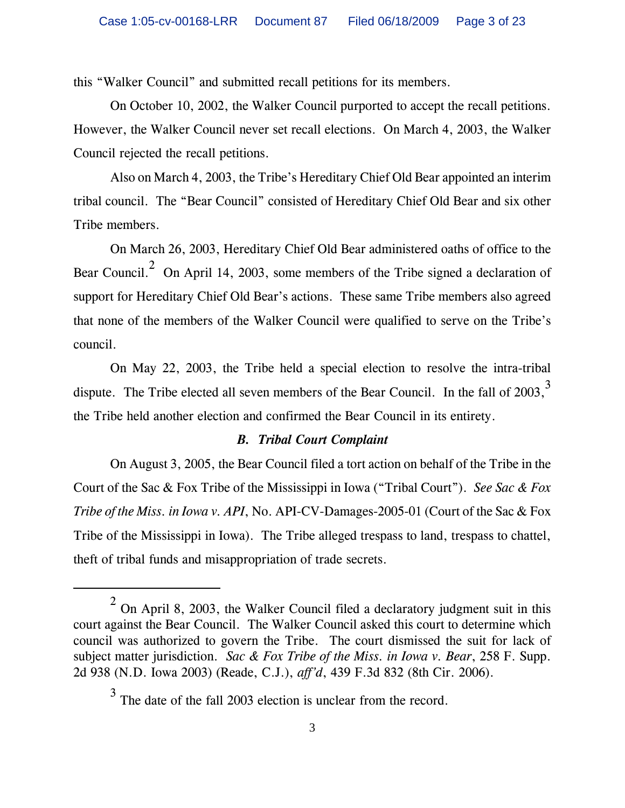this "Walker Council" and submitted recall petitions for its members.

On October 10, 2002, the Walker Council purported to accept the recall petitions. However, the Walker Council never set recall elections. On March 4, 2003, the Walker Council rejected the recall petitions.

Also on March 4, 2003, the Tribe's Hereditary Chief Old Bear appointed an interim tribal council. The "Bear Council" consisted of Hereditary Chief Old Bear and six other Tribe members.

On March 26, 2003, Hereditary Chief Old Bear administered oaths of office to the Bear Council.<sup>2</sup> On April 14, 2003, some members of the Tribe signed a declaration of support for Hereditary Chief Old Bear's actions. These same Tribe members also agreed that none of the members of the Walker Council were qualified to serve on the Tribe's council.

On May 22, 2003, the Tribe held a special election to resolve the intra-tribal dispute. The Tribe elected all seven members of the Bear Council. In the fall of 2003,<sup>3</sup> the Tribe held another election and confirmed the Bear Council in its entirety.

### *B. Tribal Court Complaint*

On August 3, 2005, the Bear Council filed a tort action on behalf of the Tribe in the Court of the Sac & Fox Tribe of the Mississippi in Iowa ("Tribal Court"). *See Sac & Fox Tribe of the Miss. in Iowa v. API*, No. API-CV-Damages-2005-01 (Court of the Sac & Fox Tribe of the Mississippi in Iowa). The Tribe alleged trespass to land, trespass to chattel, theft of tribal funds and misappropriation of trade secrets.

<sup>&</sup>lt;sup>2</sup> On April 8, 2003, the Walker Council filed a declaratory judgment suit in this court against the Bear Council. The Walker Council asked this court to determine which council was authorized to govern the Tribe. The court dismissed the suit for lack of subject matter jurisdiction. *Sac & Fox Tribe of the Miss. in Iowa v. Bear*, 258 F. Supp. 2d 938 (N.D. Iowa 2003) (Reade, C.J.), *aff'd*, 439 F.3d 832 (8th Cir. 2006).

<sup>&</sup>lt;sup>3</sup> The date of the fall 2003 election is unclear from the record.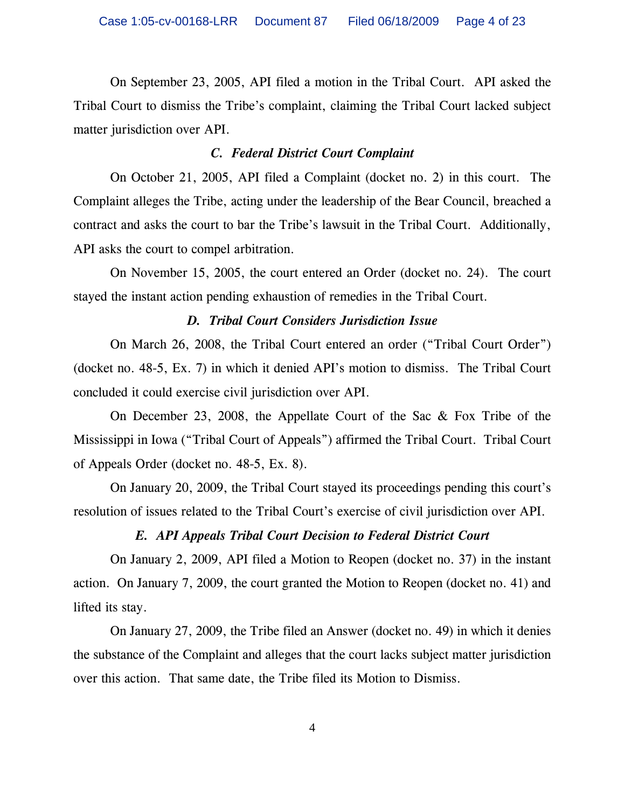On September 23, 2005, API filed a motion in the Tribal Court. API asked the Tribal Court to dismiss the Tribe's complaint, claiming the Tribal Court lacked subject matter jurisdiction over API.

### *C. Federal District Court Complaint*

On October 21, 2005, API filed a Complaint (docket no. 2) in this court. The Complaint alleges the Tribe, acting under the leadership of the Bear Council, breached a contract and asks the court to bar the Tribe's lawsuit in the Tribal Court. Additionally, API asks the court to compel arbitration.

On November 15, 2005, the court entered an Order (docket no. 24). The court stayed the instant action pending exhaustion of remedies in the Tribal Court.

### *D. Tribal Court Considers Jurisdiction Issue*

On March 26, 2008, the Tribal Court entered an order ("Tribal Court Order") (docket no. 48-5, Ex. 7) in which it denied API's motion to dismiss. The Tribal Court concluded it could exercise civil jurisdiction over API.

On December 23, 2008, the Appellate Court of the Sac & Fox Tribe of the Mississippi in Iowa ("Tribal Court of Appeals") affirmed the Tribal Court. Tribal Court of Appeals Order (docket no. 48-5, Ex. 8).

On January 20, 2009, the Tribal Court stayed its proceedings pending this court's resolution of issues related to the Tribal Court's exercise of civil jurisdiction over API.

# *E. API Appeals Tribal Court Decision to Federal District Court*

On January 2, 2009, API filed a Motion to Reopen (docket no. 37) in the instant action. On January 7, 2009, the court granted the Motion to Reopen (docket no. 41) and lifted its stay.

On January 27, 2009, the Tribe filed an Answer (docket no. 49) in which it denies the substance of the Complaint and alleges that the court lacks subject matter jurisdiction over this action. That same date, the Tribe filed its Motion to Dismiss.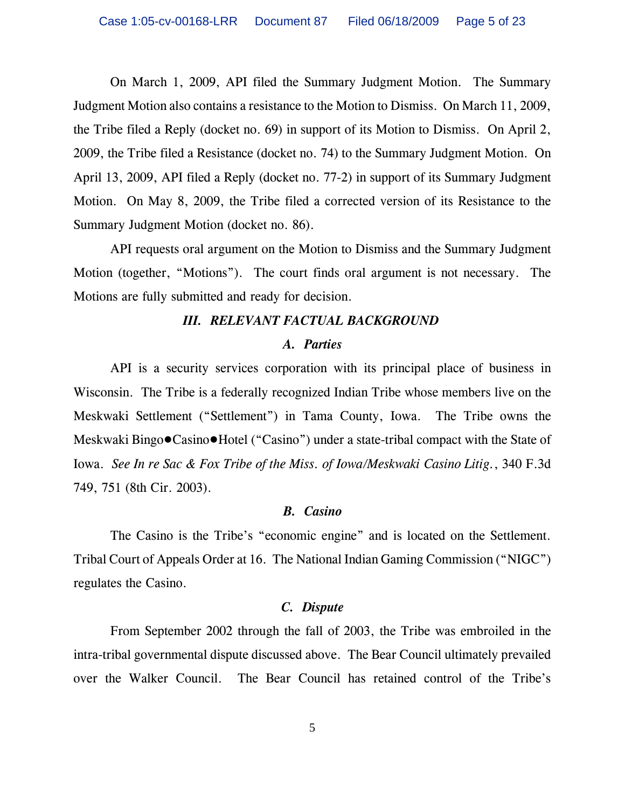On March 1, 2009, API filed the Summary Judgment Motion. The Summary Judgment Motion also contains a resistance to the Motion to Dismiss. On March 11, 2009, the Tribe filed a Reply (docket no. 69) in support of its Motion to Dismiss. On April 2, 2009, the Tribe filed a Resistance (docket no. 74) to the Summary Judgment Motion. On April 13, 2009, API filed a Reply (docket no. 77-2) in support of its Summary Judgment Motion. On May 8, 2009, the Tribe filed a corrected version of its Resistance to the Summary Judgment Motion (docket no. 86).

API requests oral argument on the Motion to Dismiss and the Summary Judgment Motion (together, "Motions"). The court finds oral argument is not necessary. The Motions are fully submitted and ready for decision.

#### *III. RELEVANT FACTUAL BACKGROUND*

#### *A. Parties*

API is a security services corporation with its principal place of business in Wisconsin. The Tribe is a federally recognized Indian Tribe whose members live on the Meskwaki Settlement ("Settlement") in Tama County, Iowa. The Tribe owns the Meskwaki Bingo $\bullet$ Casino $\bullet$ Hotel ("Casino") under a state-tribal compact with the State of Iowa. *See In re Sac & Fox Tribe of the Miss. of Iowa/Meskwaki Casino Litig.*, 340 F.3d 749, 751 (8th Cir. 2003).

#### *B. Casino*

The Casino is the Tribe's "economic engine" and is located on the Settlement. Tribal Court of Appeals Order at 16. The National Indian Gaming Commission ("NIGC") regulates the Casino.

#### *C. Dispute*

From September 2002 through the fall of 2003, the Tribe was embroiled in the intra-tribal governmental dispute discussed above. The Bear Council ultimately prevailed over the Walker Council. The Bear Council has retained control of the Tribe's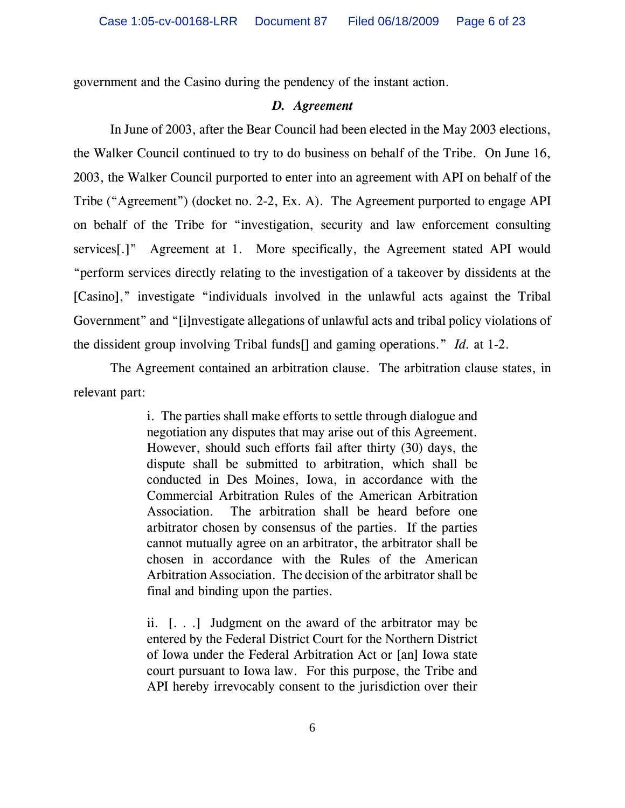government and the Casino during the pendency of the instant action.

### *D. Agreement*

In June of 2003, after the Bear Council had been elected in the May 2003 elections, the Walker Council continued to try to do business on behalf of the Tribe. On June 16, 2003, the Walker Council purported to enter into an agreement with API on behalf of the Tribe ("Agreement") (docket no. 2-2, Ex. A). The Agreement purported to engage API on behalf of the Tribe for "investigation, security and law enforcement consulting services[.]" Agreement at 1. More specifically, the Agreement stated API would "perform services directly relating to the investigation of a takeover by dissidents at the [Casino]," investigate "individuals involved in the unlawful acts against the Tribal Government" and "[i]nvestigate allegations of unlawful acts and tribal policy violations of the dissident group involving Tribal funds[] and gaming operations." *Id.* at 1-2.

The Agreement contained an arbitration clause. The arbitration clause states, in relevant part:

> i. The parties shall make efforts to settle through dialogue and negotiation any disputes that may arise out of this Agreement. However, should such efforts fail after thirty (30) days, the dispute shall be submitted to arbitration, which shall be conducted in Des Moines, Iowa, in accordance with the Commercial Arbitration Rules of the American Arbitration Association. The arbitration shall be heard before one arbitrator chosen by consensus of the parties. If the parties cannot mutually agree on an arbitrator, the arbitrator shall be chosen in accordance with the Rules of the American Arbitration Association. The decision of the arbitrator shall be final and binding upon the parties.

> ii. [. . .] Judgment on the award of the arbitrator may be entered by the Federal District Court for the Northern District of Iowa under the Federal Arbitration Act or [an] Iowa state court pursuant to Iowa law. For this purpose, the Tribe and API hereby irrevocably consent to the jurisdiction over their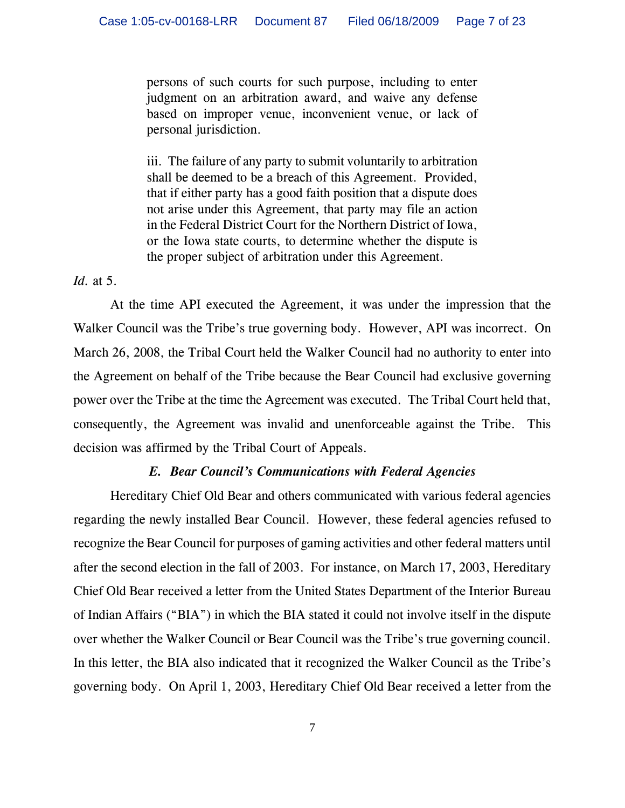persons of such courts for such purpose, including to enter judgment on an arbitration award, and waive any defense based on improper venue, inconvenient venue, or lack of personal jurisdiction.

iii. The failure of any party to submit voluntarily to arbitration shall be deemed to be a breach of this Agreement. Provided, that if either party has a good faith position that a dispute does not arise under this Agreement, that party may file an action in the Federal District Court for the Northern District of Iowa, or the Iowa state courts, to determine whether the dispute is the proper subject of arbitration under this Agreement.

#### *Id.* at 5.

At the time API executed the Agreement, it was under the impression that the Walker Council was the Tribe's true governing body. However, API was incorrect. On March 26, 2008, the Tribal Court held the Walker Council had no authority to enter into the Agreement on behalf of the Tribe because the Bear Council had exclusive governing power over the Tribe at the time the Agreement was executed. The Tribal Court held that, consequently, the Agreement was invalid and unenforceable against the Tribe. This decision was affirmed by the Tribal Court of Appeals.

### *E. Bear Council's Communications with Federal Agencies*

Hereditary Chief Old Bear and others communicated with various federal agencies regarding the newly installed Bear Council. However, these federal agencies refused to recognize the Bear Council for purposes of gaming activities and other federal matters until after the second election in the fall of 2003. For instance, on March 17, 2003, Hereditary Chief Old Bear received a letter from the United States Department of the Interior Bureau of Indian Affairs ("BIA") in which the BIA stated it could not involve itself in the dispute over whether the Walker Council or Bear Council was the Tribe's true governing council. In this letter, the BIA also indicated that it recognized the Walker Council as the Tribe's governing body. On April 1, 2003, Hereditary Chief Old Bear received a letter from the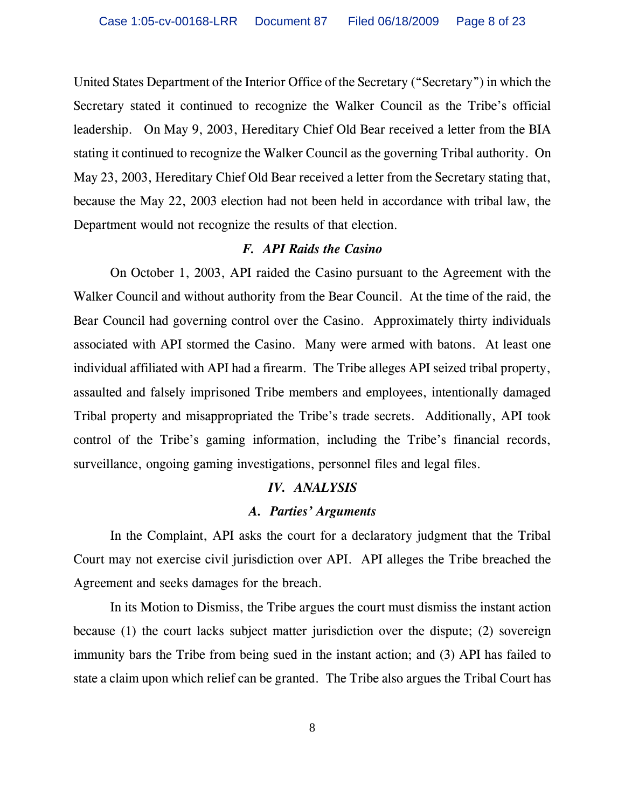United States Department of the Interior Office of the Secretary ("Secretary") in which the Secretary stated it continued to recognize the Walker Council as the Tribe's official leadership. On May 9, 2003, Hereditary Chief Old Bear received a letter from the BIA stating it continued to recognize the Walker Council as the governing Tribal authority. On May 23, 2003, Hereditary Chief Old Bear received a letter from the Secretary stating that, because the May 22, 2003 election had not been held in accordance with tribal law, the Department would not recognize the results of that election.

#### *F. API Raids the Casino*

On October 1, 2003, API raided the Casino pursuant to the Agreement with the Walker Council and without authority from the Bear Council. At the time of the raid, the Bear Council had governing control over the Casino. Approximately thirty individuals associated with API stormed the Casino. Many were armed with batons. At least one individual affiliated with API had a firearm. The Tribe alleges API seized tribal property, assaulted and falsely imprisoned Tribe members and employees, intentionally damaged Tribal property and misappropriated the Tribe's trade secrets. Additionally, API took control of the Tribe's gaming information, including the Tribe's financial records, surveillance, ongoing gaming investigations, personnel files and legal files.

### *IV. ANALYSIS*

#### *A. Parties' Arguments*

In the Complaint, API asks the court for a declaratory judgment that the Tribal Court may not exercise civil jurisdiction over API. API alleges the Tribe breached the Agreement and seeks damages for the breach.

In its Motion to Dismiss, the Tribe argues the court must dismiss the instant action because (1) the court lacks subject matter jurisdiction over the dispute; (2) sovereign immunity bars the Tribe from being sued in the instant action; and (3) API has failed to state a claim upon which relief can be granted. The Tribe also argues the Tribal Court has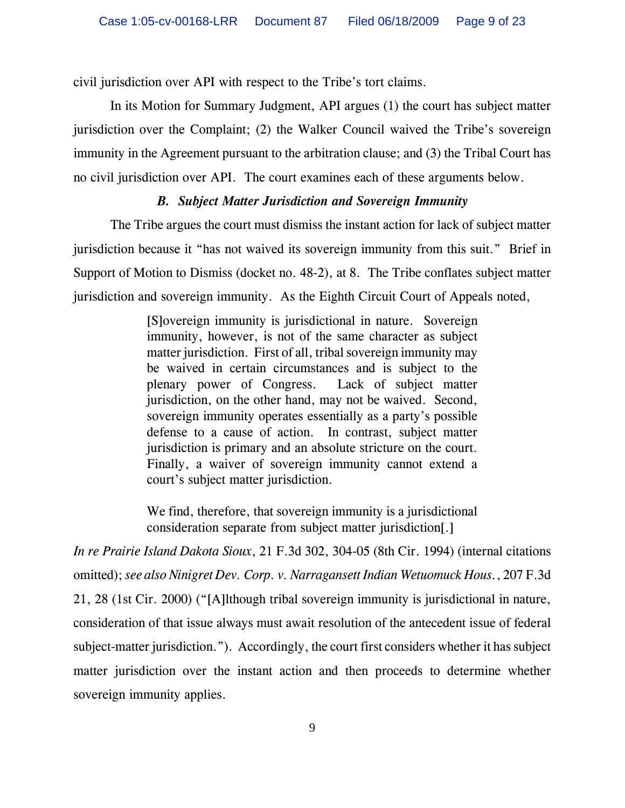civil jurisdiction over API with respect to the Tribe's tort claims.

In its Motion for Summary Judgment, API argues (1) the court has subject matter jurisdiction over the Complaint; (2) the Walker Council waived the Tribe's sovereign immunity in the Agreement pursuant to the arbitration clause; and (3) the Tribal Court has no civil jurisdiction over API. The court examines each of these arguments below.

### *B. Subject Matter Jurisdiction and Sovereign Immunity*

The Tribe argues the court must dismiss the instant action for lack of subject matter jurisdiction because it "has not waived its sovereign immunity from this suit." Brief in Support of Motion to Dismiss (docket no. 48-2), at 8. The Tribe conflates subject matter jurisdiction and sovereign immunity. As the Eighth Circuit Court of Appeals noted,

> [S]overeign immunity is jurisdictional in nature. Sovereign immunity, however, is not of the same character as subject matter jurisdiction. First of all, tribal sovereign immunity may be waived in certain circumstances and is subject to the plenary power of Congress. Lack of subject matter jurisdiction, on the other hand, may not be waived. Second, sovereign immunity operates essentially as a party's possible defense to a cause of action. In contrast, subject matter jurisdiction is primary and an absolute stricture on the court. Finally, a waiver of sovereign immunity cannot extend a court's subject matter jurisdiction.

> We find, therefore, that sovereign immunity is a jurisdictional consideration separate from subject matter jurisdiction[.]

*In re Prairie Island Dakota Sioux*, 21 F.3d 302, 304-05 (8th Cir. 1994) (internal citations omitted); *see also Ninigret Dev. Corp. v. Narragansett Indian Wetuomuck Hous.*, 207 F.3d 21, 28 (1st Cir. 2000) ("[A]lthough tribal sovereign immunity is jurisdictional in nature, consideration of that issue always must await resolution of the antecedent issue of federal subject-matter jurisdiction."). Accordingly, the court first considers whether it has subject matter jurisdiction over the instant action and then proceeds to determine whether sovereign immunity applies.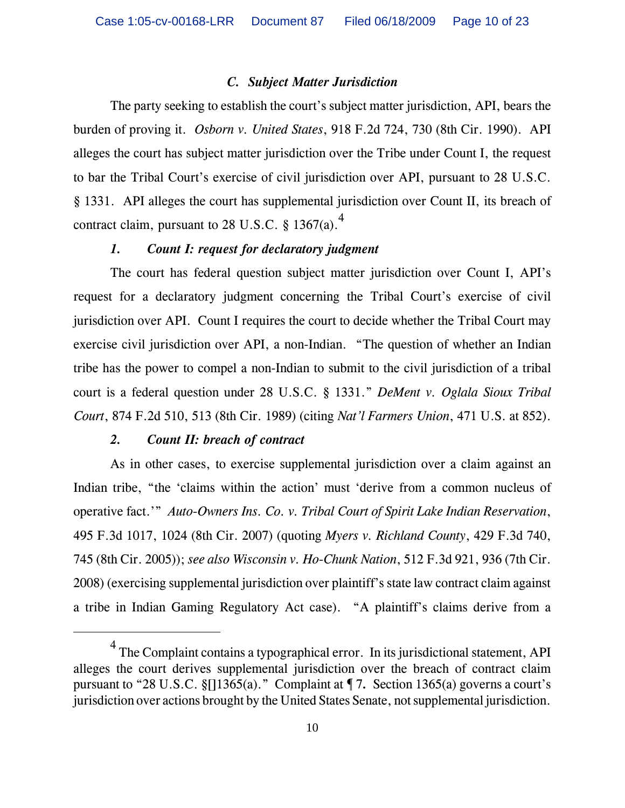### *C. Subject Matter Jurisdiction*

The party seeking to establish the court's subject matter jurisdiction, API, bears the burden of proving it. *Osborn v. United States*, 918 F.2d 724, 730 (8th Cir. 1990). API alleges the court has subject matter jurisdiction over the Tribe under Count I, the request to bar the Tribal Court's exercise of civil jurisdiction over API, pursuant to 28 U.S.C. § 1331. API alleges the court has supplemental jurisdiction over Count II, its breach of contract claim, pursuant to 28 U.S.C.  $\frac{8}{1367(a)}$ .

# *1. Count I: request for declaratory judgment*

The court has federal question subject matter jurisdiction over Count I, API's request for a declaratory judgment concerning the Tribal Court's exercise of civil jurisdiction over API. Count I requires the court to decide whether the Tribal Court may exercise civil jurisdiction over API, a non-Indian. "The question of whether an Indian tribe has the power to compel a non-Indian to submit to the civil jurisdiction of a tribal court is a federal question under 28 U.S.C. § 1331." *DeMent v. Oglala Sioux Tribal Court*, 874 F.2d 510, 513 (8th Cir. 1989) (citing *Nat'l Farmers Union*, 471 U.S. at 852).

### *2. Count II: breach of contract*

As in other cases, to exercise supplemental jurisdiction over a claim against an Indian tribe, "the 'claims within the action' must 'derive from a common nucleus of operative fact.'" *Auto-Owners Ins. Co. v. Tribal Court of Spirit Lake Indian Reservation*, 495 F.3d 1017, 1024 (8th Cir. 2007) (quoting *Myers v. Richland County*, 429 F.3d 740, 745 (8th Cir. 2005)); *see also Wisconsin v. Ho-Chunk Nation*, 512 F.3d 921, 936 (7th Cir. 2008) (exercising supplemental jurisdiction over plaintiff's state law contract claim against a tribe in Indian Gaming Regulatory Act case). "A plaintiff's claims derive from a

 $<sup>4</sup>$  The Complaint contains a typographical error. In its jurisdictional statement, API</sup> alleges the court derives supplemental jurisdiction over the breach of contract claim pursuant to "28 U.S.C. §[]1365(a)." Complaint at ¶ 7*.* Section 1365(a) governs a court's jurisdiction over actions brought by the United States Senate, not supplemental jurisdiction.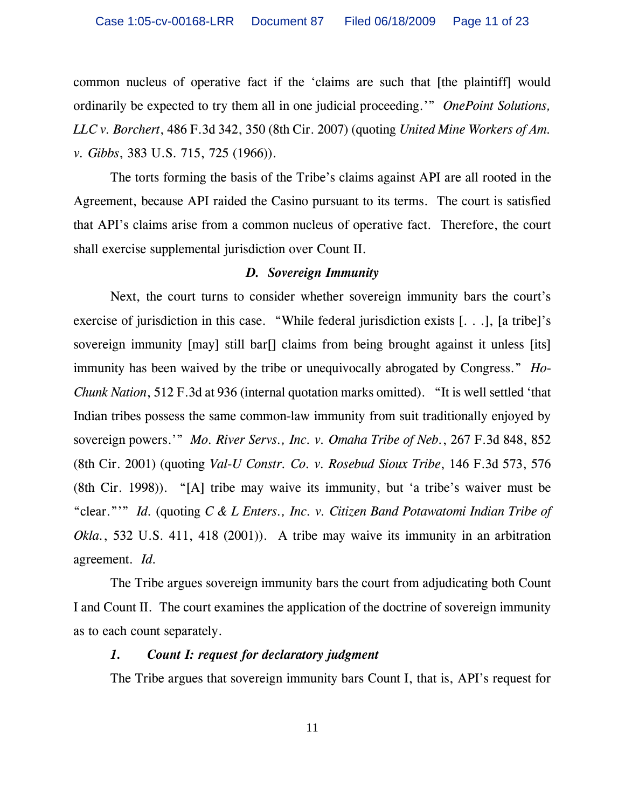common nucleus of operative fact if the 'claims are such that [the plaintiff] would ordinarily be expected to try them all in one judicial proceeding.'" *OnePoint Solutions, LLC v. Borchert*, 486 F.3d 342, 350 (8th Cir. 2007) (quoting *United Mine Workers of Am. v. Gibbs*, 383 U.S. 715, 725 (1966)).

The torts forming the basis of the Tribe's claims against API are all rooted in the Agreement, because API raided the Casino pursuant to its terms. The court is satisfied that API's claims arise from a common nucleus of operative fact. Therefore, the court shall exercise supplemental jurisdiction over Count II.

#### *D. Sovereign Immunity*

Next, the court turns to consider whether sovereign immunity bars the court's exercise of jurisdiction in this case. "While federal jurisdiction exists [. . .], [a tribe]'s sovereign immunity [may] still bar[] claims from being brought against it unless [its] immunity has been waived by the tribe or unequivocally abrogated by Congress." *Ho-Chunk Nation*, 512 F.3d at 936 (internal quotation marks omitted). "It is well settled 'that Indian tribes possess the same common-law immunity from suit traditionally enjoyed by sovereign powers.'" *Mo. River Servs., Inc. v. Omaha Tribe of Neb.*, 267 F.3d 848, 852 (8th Cir. 2001) (quoting *Val-U Constr. Co. v. Rosebud Sioux Tribe*, 146 F.3d 573, 576 (8th Cir. 1998)). "[A] tribe may waive its immunity, but 'a tribe's waiver must be "clear."'" *Id.* (quoting *C & L Enters., Inc. v. Citizen Band Potawatomi Indian Tribe of Okla.*, 532 U.S. 411, 418 (2001)). A tribe may waive its immunity in an arbitration agreement. *Id.*

The Tribe argues sovereign immunity bars the court from adjudicating both Count I and Count II. The court examines the application of the doctrine of sovereign immunity as to each count separately.

### *1. Count I: request for declaratory judgment*

The Tribe argues that sovereign immunity bars Count I, that is, API's request for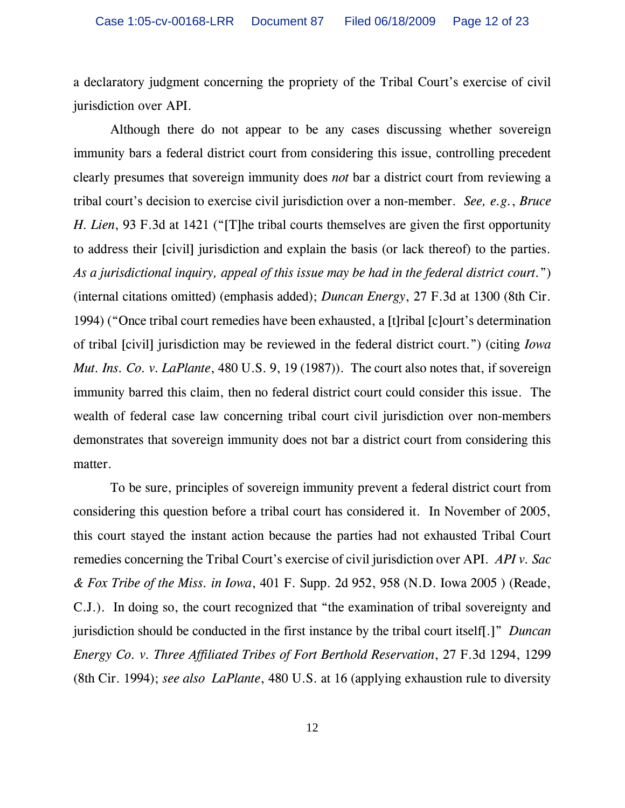a declaratory judgment concerning the propriety of the Tribal Court's exercise of civil jurisdiction over API.

Although there do not appear to be any cases discussing whether sovereign immunity bars a federal district court from considering this issue, controlling precedent clearly presumes that sovereign immunity does *not* bar a district court from reviewing a tribal court's decision to exercise civil jurisdiction over a non-member. *See, e.g.*, *Bruce H. Lien*, 93 F.3d at 1421 ("[T]he tribal courts themselves are given the first opportunity to address their [civil] jurisdiction and explain the basis (or lack thereof) to the parties. *As a jurisdictional inquiry, appeal of this issue may be had in the federal district court.*") (internal citations omitted) (emphasis added); *Duncan Energy*, 27 F.3d at 1300 (8th Cir. 1994) ("Once tribal court remedies have been exhausted, a [t]ribal [c]ourt's determination of tribal [civil] jurisdiction may be reviewed in the federal district court.") (citing *Iowa Mut. Ins. Co. v. LaPlante*, 480 U.S. 9, 19 (1987)). The court also notes that, if sovereign immunity barred this claim, then no federal district court could consider this issue. The wealth of federal case law concerning tribal court civil jurisdiction over non-members demonstrates that sovereign immunity does not bar a district court from considering this matter.

To be sure, principles of sovereign immunity prevent a federal district court from considering this question before a tribal court has considered it. In November of 2005, this court stayed the instant action because the parties had not exhausted Tribal Court remedies concerning the Tribal Court's exercise of civil jurisdiction over API. *API v. Sac & Fox Tribe of the Miss. in Iowa*, 401 F. Supp. 2d 952, 958 (N.D. Iowa 2005 ) (Reade, C.J.). In doing so, the court recognized that "the examination of tribal sovereignty and jurisdiction should be conducted in the first instance by the tribal court itself[.]" *Duncan Energy Co. v. Three Affiliated Tribes of Fort Berthold Reservation*, 27 F.3d 1294, 1299 (8th Cir. 1994); *see also LaPlante*, 480 U.S. at 16 (applying exhaustion rule to diversity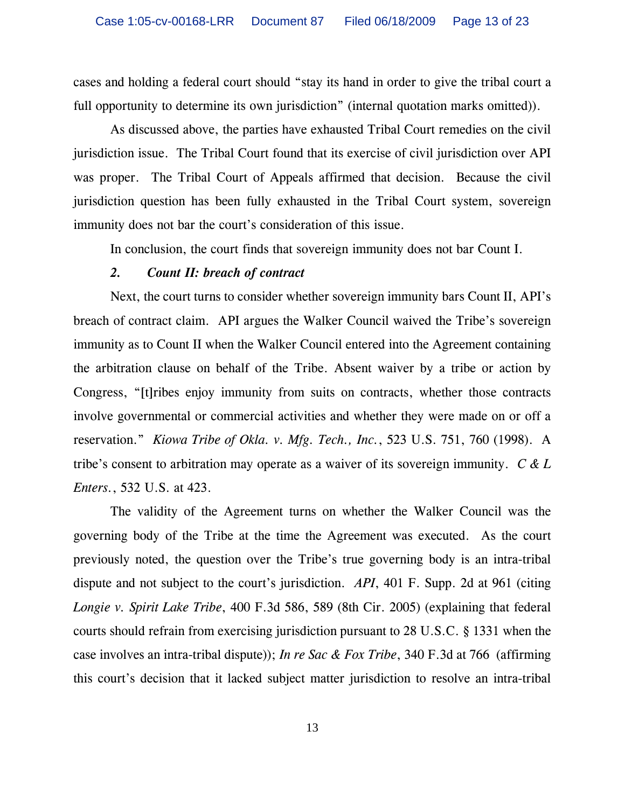cases and holding a federal court should "stay its hand in order to give the tribal court a full opportunity to determine its own jurisdiction" (internal quotation marks omitted)).

As discussed above, the parties have exhausted Tribal Court remedies on the civil jurisdiction issue. The Tribal Court found that its exercise of civil jurisdiction over API was proper. The Tribal Court of Appeals affirmed that decision. Because the civil jurisdiction question has been fully exhausted in the Tribal Court system, sovereign immunity does not bar the court's consideration of this issue.

In conclusion, the court finds that sovereign immunity does not bar Count I.

#### *2. Count II: breach of contract*

Next, the court turns to consider whether sovereign immunity bars Count II, API's breach of contract claim. API argues the Walker Council waived the Tribe's sovereign immunity as to Count II when the Walker Council entered into the Agreement containing the arbitration clause on behalf of the Tribe. Absent waiver by a tribe or action by Congress, "[t]ribes enjoy immunity from suits on contracts, whether those contracts involve governmental or commercial activities and whether they were made on or off a reservation." *Kiowa Tribe of Okla. v. Mfg. Tech., Inc.*, 523 U.S. 751, 760 (1998). A tribe's consent to arbitration may operate as a waiver of its sovereign immunity. *C & L Enters.*, 532 U.S. at 423.

The validity of the Agreement turns on whether the Walker Council was the governing body of the Tribe at the time the Agreement was executed. As the court previously noted, the question over the Tribe's true governing body is an intra-tribal dispute and not subject to the court's jurisdiction. *API*, 401 F. Supp. 2d at 961 (citing *Longie v. Spirit Lake Tribe*, 400 F.3d 586, 589 (8th Cir. 2005) (explaining that federal courts should refrain from exercising jurisdiction pursuant to 28 U.S.C. § 1331 when the case involves an intra-tribal dispute)); *In re Sac & Fox Tribe*, 340 F.3d at 766 (affirming this court's decision that it lacked subject matter jurisdiction to resolve an intra-tribal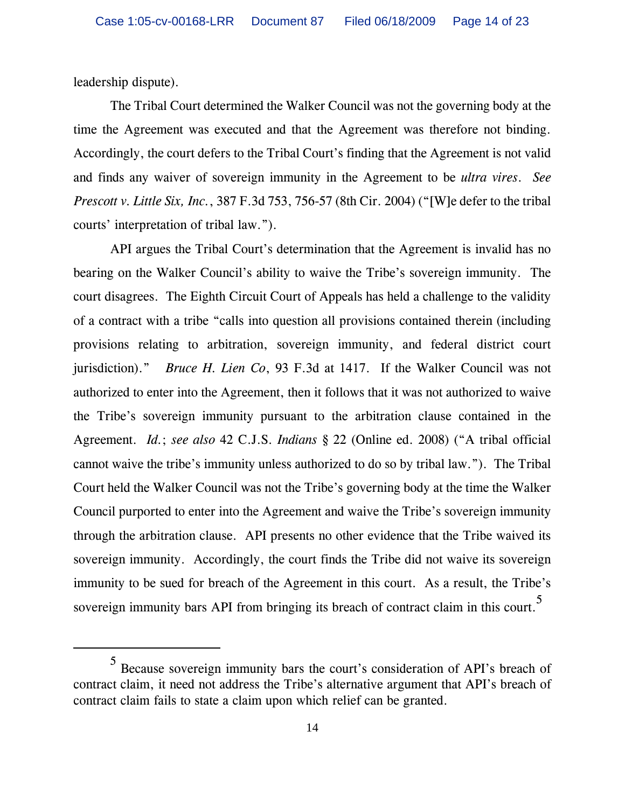leadership dispute).

The Tribal Court determined the Walker Council was not the governing body at the time the Agreement was executed and that the Agreement was therefore not binding. Accordingly, the court defers to the Tribal Court's finding that the Agreement is not valid and finds any waiver of sovereign immunity in the Agreement to be *ultra vires*. *See Prescott v. Little Six, Inc.*, 387 F.3d 753, 756-57 (8th Cir. 2004) ("[W]e defer to the tribal courts' interpretation of tribal law.").

API argues the Tribal Court's determination that the Agreement is invalid has no bearing on the Walker Council's ability to waive the Tribe's sovereign immunity. The court disagrees. The Eighth Circuit Court of Appeals has held a challenge to the validity of a contract with a tribe "calls into question all provisions contained therein (including provisions relating to arbitration, sovereign immunity, and federal district court jurisdiction)." *Bruce H. Lien Co*, 93 F.3d at 1417. If the Walker Council was not authorized to enter into the Agreement, then it follows that it was not authorized to waive the Tribe's sovereign immunity pursuant to the arbitration clause contained in the Agreement. *Id.*; *see also* 42 C.J.S. *Indians* § 22 (Online ed. 2008) ("A tribal official cannot waive the tribe's immunity unless authorized to do so by tribal law."). The Tribal Court held the Walker Council was not the Tribe's governing body at the time the Walker Council purported to enter into the Agreement and waive the Tribe's sovereign immunity through the arbitration clause. API presents no other evidence that the Tribe waived its sovereign immunity. Accordingly, the court finds the Tribe did not waive its sovereign immunity to be sued for breach of the Agreement in this court. As a result, the Tribe's sovereign immunity bars API from bringing its breach of contract claim in this court.<sup>5</sup>

<sup>5</sup> Because sovereign immunity bars the court's consideration of API's breach of contract claim, it need not address the Tribe's alternative argument that API's breach of contract claim fails to state a claim upon which relief can be granted.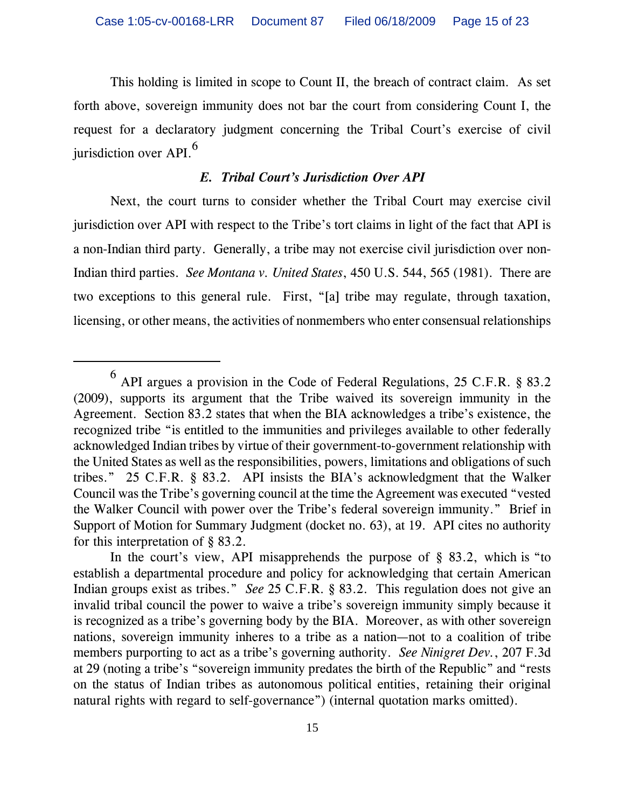This holding is limited in scope to Count II, the breach of contract claim. As set forth above, sovereign immunity does not bar the court from considering Count I, the request for a declaratory judgment concerning the Tribal Court's exercise of civil jurisdiction over API.<sup>6</sup>

### *E. Tribal Court's Jurisdiction Over API*

Next, the court turns to consider whether the Tribal Court may exercise civil jurisdiction over API with respect to the Tribe's tort claims in light of the fact that API is a non-Indian third party. Generally, a tribe may not exercise civil jurisdiction over non-Indian third parties. *See Montana v. United States*, 450 U.S. 544, 565 (1981). There are two exceptions to this general rule. First, "[a] tribe may regulate, through taxation, licensing, or other means, the activities of nonmembers who enter consensual relationships

 $^6$  API argues a provision in the Code of Federal Regulations, 25 C.F.R. § 83.2 (2009), supports its argument that the Tribe waived its sovereign immunity in the Agreement. Section 83.2 states that when the BIA acknowledges a tribe's existence, the recognized tribe "is entitled to the immunities and privileges available to other federally acknowledged Indian tribes by virtue of their government-to-government relationship with the United States as well as the responsibilities, powers, limitations and obligations of such tribes." 25 C.F.R. § 83.2. API insists the BIA's acknowledgment that the Walker Council was the Tribe's governing council at the time the Agreement was executed "vested the Walker Council with power over the Tribe's federal sovereign immunity." Brief in Support of Motion for Summary Judgment (docket no. 63), at 19. API cites no authority for this interpretation of § 83.2.

In the court's view, API misapprehends the purpose of  $\S$  83.2, which is "to establish a departmental procedure and policy for acknowledging that certain American Indian groups exist as tribes." *See* 25 C.F.R. § 83.2. This regulation does not give an invalid tribal council the power to waive a tribe's sovereign immunity simply because it is recognized as a tribe's governing body by the BIA. Moreover, as with other sovereign nations, sovereign immunity inheres to a tribe as a nation—not to a coalition of tribe members purporting to act as a tribe's governing authority. *See Ninigret Dev.*, 207 F.3d at 29 (noting a tribe's "sovereign immunity predates the birth of the Republic" and "rests on the status of Indian tribes as autonomous political entities, retaining their original natural rights with regard to self-governance") (internal quotation marks omitted).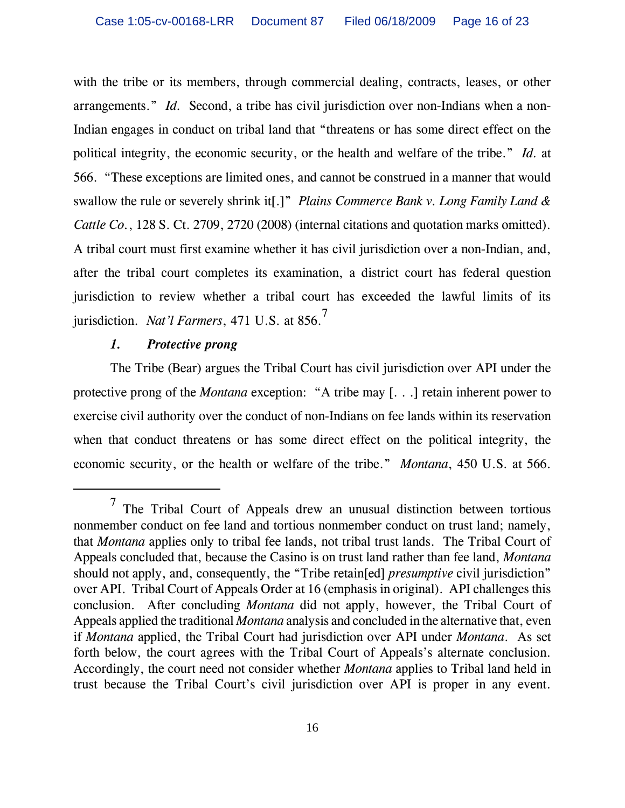with the tribe or its members, through commercial dealing, contracts, leases, or other arrangements." *Id.* Second, a tribe has civil jurisdiction over non-Indians when a non-Indian engages in conduct on tribal land that "threatens or has some direct effect on the political integrity, the economic security, or the health and welfare of the tribe." *Id.* at 566. "These exceptions are limited ones, and cannot be construed in a manner that would swallow the rule or severely shrink it[.]" *Plains Commerce Bank v. Long Family Land & Cattle Co.*, 128 S. Ct. 2709, 2720 (2008) (internal citations and quotation marks omitted). A tribal court must first examine whether it has civil jurisdiction over a non-Indian, and, after the tribal court completes its examination, a district court has federal question jurisdiction to review whether a tribal court has exceeded the lawful limits of its jurisdiction. *Nat'l Farmers*, 471 U.S. at 856.7

### *1. Protective prong*

The Tribe (Bear) argues the Tribal Court has civil jurisdiction over API under the protective prong of the *Montana* exception: "A tribe may [. . .] retain inherent power to exercise civil authority over the conduct of non-Indians on fee lands within its reservation when that conduct threatens or has some direct effect on the political integrity, the economic security, or the health or welfare of the tribe." *Montana*, 450 U.S. at 566.

<sup>7</sup> The Tribal Court of Appeals drew an unusual distinction between tortious nonmember conduct on fee land and tortious nonmember conduct on trust land; namely, that *Montana* applies only to tribal fee lands, not tribal trust lands. The Tribal Court of Appeals concluded that, because the Casino is on trust land rather than fee land, *Montana* should not apply, and, consequently, the "Tribe retain[ed] *presumptive* civil jurisdiction" over API. Tribal Court of Appeals Order at 16 (emphasis in original). API challenges this conclusion. After concluding *Montana* did not apply, however, the Tribal Court of Appeals applied the traditional *Montana* analysis and concluded in the alternative that, even if *Montana* applied, the Tribal Court had jurisdiction over API under *Montana*. As set forth below, the court agrees with the Tribal Court of Appeals's alternate conclusion. Accordingly, the court need not consider whether *Montana* applies to Tribal land held in trust because the Tribal Court's civil jurisdiction over API is proper in any event.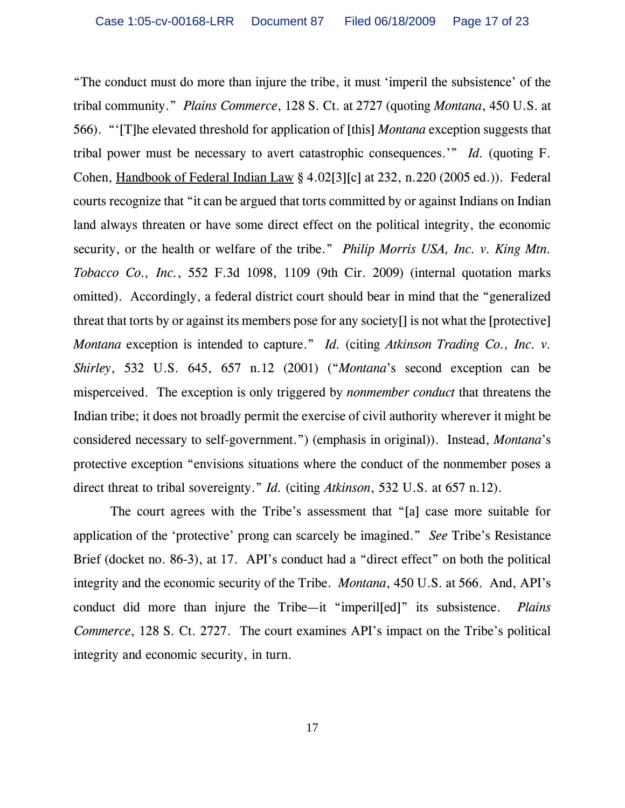"The conduct must do more than injure the tribe, it must 'imperil the subsistence' of the tribal community." *Plains Commerce*, 128 S. Ct. at 2727 (quoting *Montana*, 450 U.S. at 566). "'[T]he elevated threshold for application of [this] *Montana* exception suggests that tribal power must be necessary to avert catastrophic consequences.'" *Id.* (quoting F. Cohen, Handbook of Federal Indian Law § 4.02[3][c] at 232, n.220 (2005 ed.)). Federal courts recognize that "it can be argued that torts committed by or against Indians on Indian land always threaten or have some direct effect on the political integrity, the economic security, or the health or welfare of the tribe." *Philip Morris USA, Inc. v. King Mtn. Tobacco Co., Inc.*, 552 F.3d 1098, 1109 (9th Cir. 2009) (internal quotation marks omitted). Accordingly, a federal district court should bear in mind that the "generalized threat that torts by or against its members pose for any society[] is not what the [protective] *Montana* exception is intended to capture." *Id.* (citing *Atkinson Trading Co., Inc. v. Shirley*, 532 U.S. 645, 657 n.12 (2001) ("*Montana*'s second exception can be misperceived. The exception is only triggered by *nonmember conduct* that threatens the Indian tribe; it does not broadly permit the exercise of civil authority wherever it might be considered necessary to self-government.") (emphasis in original)). Instead, *Montana*'s protective exception "envisions situations where the conduct of the nonmember poses a direct threat to tribal sovereignty." *Id.* (citing *Atkinson*, 532 U.S. at 657 n.12).

The court agrees with the Tribe's assessment that "[a] case more suitable for application of the 'protective' prong can scarcely be imagined." *See* Tribe's Resistance Brief (docket no. 86-3), at 17. API's conduct had a "direct effect" on both the political integrity and the economic security of the Tribe. *Montana*, 450 U.S. at 566. And, API's conduct did more than injure the Tribe—it "imperil[ed]" its subsistence. *Plains Commerce*, 128 S. Ct. 2727. The court examines API's impact on the Tribe's political integrity and economic security, in turn.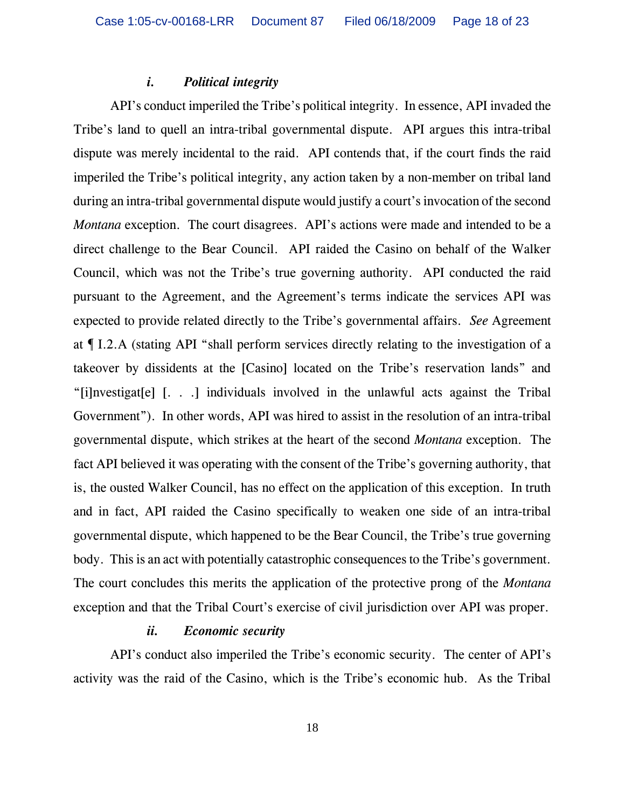#### *i. Political integrity*

API's conduct imperiled the Tribe's political integrity. In essence, API invaded the Tribe's land to quell an intra-tribal governmental dispute. API argues this intra-tribal dispute was merely incidental to the raid. API contends that, if the court finds the raid imperiled the Tribe's political integrity, any action taken by a non-member on tribal land during an intra-tribal governmental dispute would justify a court's invocation of the second *Montana* exception. The court disagrees. API's actions were made and intended to be a direct challenge to the Bear Council. API raided the Casino on behalf of the Walker Council, which was not the Tribe's true governing authority. API conducted the raid pursuant to the Agreement, and the Agreement's terms indicate the services API was expected to provide related directly to the Tribe's governmental affairs. *See* Agreement at ¶ I.2.A (stating API "shall perform services directly relating to the investigation of a takeover by dissidents at the [Casino] located on the Tribe's reservation lands" and "[i]nvestigat[e] [. . .] individuals involved in the unlawful acts against the Tribal Government"). In other words, API was hired to assist in the resolution of an intra-tribal governmental dispute, which strikes at the heart of the second *Montana* exception. The fact API believed it was operating with the consent of the Tribe's governing authority, that is, the ousted Walker Council, has no effect on the application of this exception. In truth and in fact, API raided the Casino specifically to weaken one side of an intra-tribal governmental dispute, which happened to be the Bear Council, the Tribe's true governing body. This is an act with potentially catastrophic consequences to the Tribe's government. The court concludes this merits the application of the protective prong of the *Montana* exception and that the Tribal Court's exercise of civil jurisdiction over API was proper.

### *ii. Economic security*

API's conduct also imperiled the Tribe's economic security. The center of API's activity was the raid of the Casino, which is the Tribe's economic hub. As the Tribal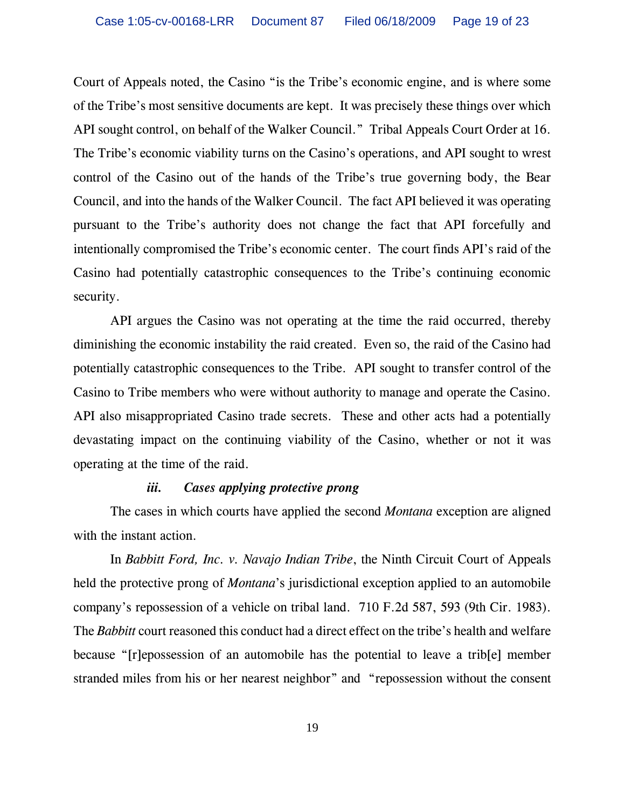Court of Appeals noted, the Casino "is the Tribe's economic engine, and is where some of the Tribe's most sensitive documents are kept. It was precisely these things over which API sought control, on behalf of the Walker Council." Tribal Appeals Court Order at 16. The Tribe's economic viability turns on the Casino's operations, and API sought to wrest control of the Casino out of the hands of the Tribe's true governing body, the Bear Council, and into the hands of the Walker Council. The fact API believed it was operating pursuant to the Tribe's authority does not change the fact that API forcefully and intentionally compromised the Tribe's economic center. The court finds API's raid of the Casino had potentially catastrophic consequences to the Tribe's continuing economic security.

API argues the Casino was not operating at the time the raid occurred, thereby diminishing the economic instability the raid created. Even so, the raid of the Casino had potentially catastrophic consequences to the Tribe. API sought to transfer control of the Casino to Tribe members who were without authority to manage and operate the Casino. API also misappropriated Casino trade secrets. These and other acts had a potentially devastating impact on the continuing viability of the Casino, whether or not it was operating at the time of the raid.

#### *iii. Cases applying protective prong*

The cases in which courts have applied the second *Montana* exception are aligned with the instant action.

In *Babbitt Ford, Inc. v. Navajo Indian Tribe*, the Ninth Circuit Court of Appeals held the protective prong of *Montana*'s jurisdictional exception applied to an automobile company's repossession of a vehicle on tribal land. 710 F.2d 587, 593 (9th Cir. 1983). The *Babbitt* court reasoned this conduct had a direct effect on the tribe's health and welfare because "[r]epossession of an automobile has the potential to leave a trib[e] member stranded miles from his or her nearest neighbor" and "repossession without the consent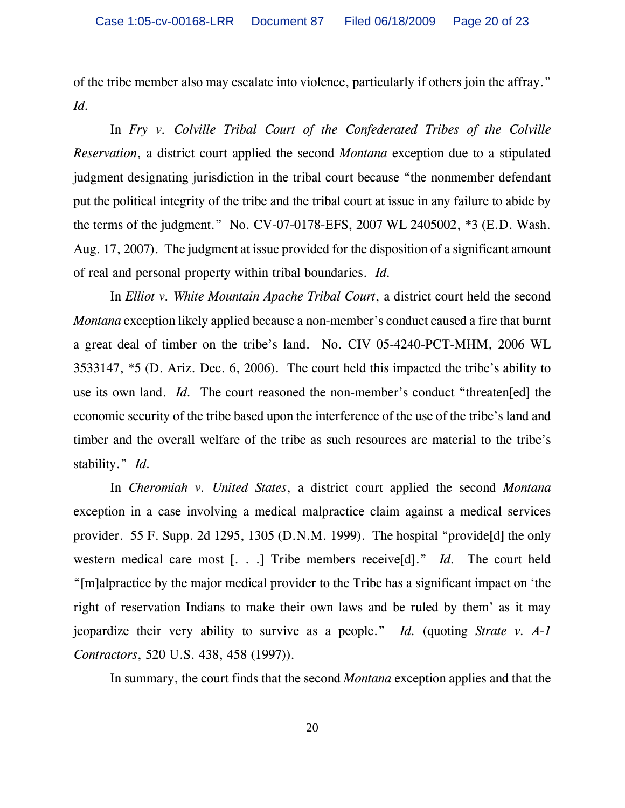of the tribe member also may escalate into violence, particularly if others join the affray." *Id.*

In *Fry v. Colville Tribal Court of the Confederated Tribes of the Colville Reservation*, a district court applied the second *Montana* exception due to a stipulated judgment designating jurisdiction in the tribal court because "the nonmember defendant put the political integrity of the tribe and the tribal court at issue in any failure to abide by the terms of the judgment." No. CV-07-0178-EFS, 2007 WL 2405002, \*3 (E.D. Wash. Aug. 17, 2007). The judgment at issue provided for the disposition of a significant amount of real and personal property within tribal boundaries. *Id.*

In *Elliot v. White Mountain Apache Tribal Court*, a district court held the second *Montana* exception likely applied because a non-member's conduct caused a fire that burnt a great deal of timber on the tribe's land. No. CIV 05-4240-PCT-MHM, 2006 WL 3533147, \*5 (D. Ariz. Dec. 6, 2006). The court held this impacted the tribe's ability to use its own land. *Id.* The court reasoned the non-member's conduct "threaten[ed] the economic security of the tribe based upon the interference of the use of the tribe's land and timber and the overall welfare of the tribe as such resources are material to the tribe's stability." *Id.*

In *Cheromiah v. United States*, a district court applied the second *Montana* exception in a case involving a medical malpractice claim against a medical services provider. 55 F. Supp. 2d 1295, 1305 (D.N.M. 1999). The hospital "provide[d] the only western medical care most [. . .] Tribe members receive[d]." *Id.* The court held "[m]alpractice by the major medical provider to the Tribe has a significant impact on 'the right of reservation Indians to make their own laws and be ruled by them' as it may jeopardize their very ability to survive as a people." *Id.* (quoting *Strate v. A-1 Contractors*, 520 U.S. 438, 458 (1997)).

In summary, the court finds that the second *Montana* exception applies and that the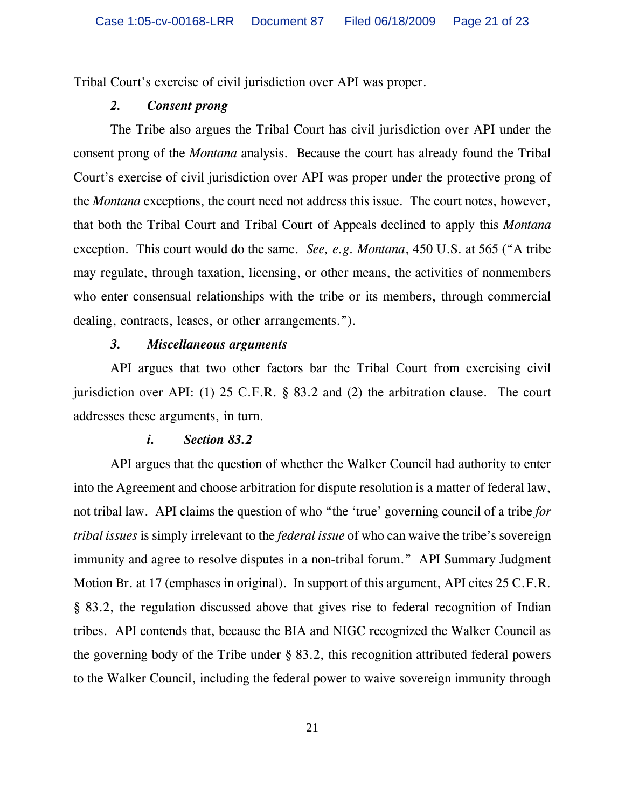Tribal Court's exercise of civil jurisdiction over API was proper.

### *2. Consent prong*

The Tribe also argues the Tribal Court has civil jurisdiction over API under the consent prong of the *Montana* analysis. Because the court has already found the Tribal Court's exercise of civil jurisdiction over API was proper under the protective prong of the *Montana* exceptions, the court need not address this issue. The court notes, however, that both the Tribal Court and Tribal Court of Appeals declined to apply this *Montana* exception. This court would do the same. *See, e.g. Montana*, 450 U.S. at 565 ("A tribe may regulate, through taxation, licensing, or other means, the activities of nonmembers who enter consensual relationships with the tribe or its members, through commercial dealing, contracts, leases, or other arrangements.").

#### *3. Miscellaneous arguments*

API argues that two other factors bar the Tribal Court from exercising civil jurisdiction over API: (1) 25 C.F.R. § 83.2 and (2) the arbitration clause. The court addresses these arguments, in turn.

#### *i. Section 83.2*

API argues that the question of whether the Walker Council had authority to enter into the Agreement and choose arbitration for dispute resolution is a matter of federal law, not tribal law. API claims the question of who "the 'true' governing council of a tribe *for tribal issues* is simply irrelevant to the *federal issue* of who can waive the tribe's sovereign immunity and agree to resolve disputes in a non-tribal forum." API Summary Judgment Motion Br. at 17 (emphases in original). In support of this argument, API cites 25 C.F.R. § 83.2, the regulation discussed above that gives rise to federal recognition of Indian tribes. API contends that, because the BIA and NIGC recognized the Walker Council as the governing body of the Tribe under § 83.2, this recognition attributed federal powers to the Walker Council, including the federal power to waive sovereign immunity through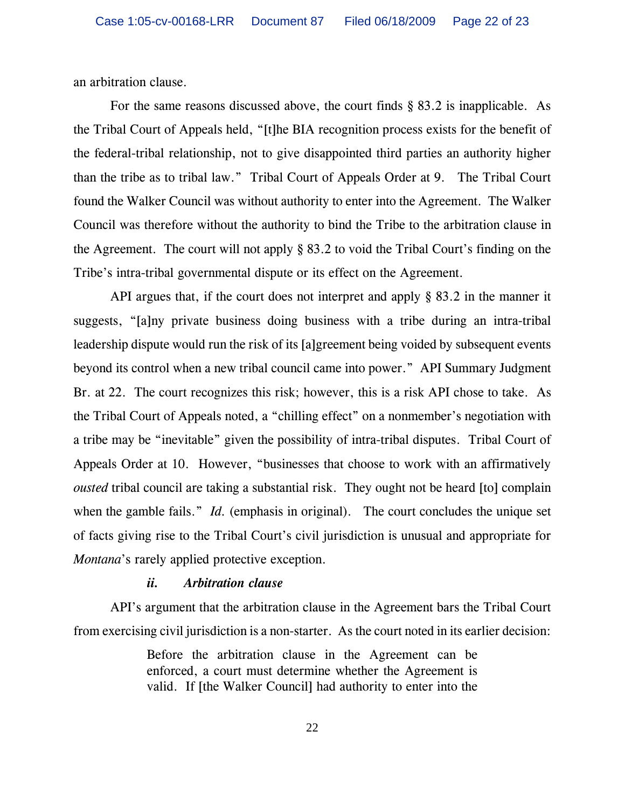an arbitration clause.

For the same reasons discussed above, the court finds § 83.2 is inapplicable. As the Tribal Court of Appeals held, "[t]he BIA recognition process exists for the benefit of the federal-tribal relationship, not to give disappointed third parties an authority higher than the tribe as to tribal law." Tribal Court of Appeals Order at 9. The Tribal Court found the Walker Council was without authority to enter into the Agreement. The Walker Council was therefore without the authority to bind the Tribe to the arbitration clause in the Agreement. The court will not apply § 83.2 to void the Tribal Court's finding on the Tribe's intra-tribal governmental dispute or its effect on the Agreement.

API argues that, if the court does not interpret and apply § 83.2 in the manner it suggests, "[a]ny private business doing business with a tribe during an intra-tribal leadership dispute would run the risk of its [a]greement being voided by subsequent events beyond its control when a new tribal council came into power." API Summary Judgment Br. at 22. The court recognizes this risk; however, this is a risk API chose to take. As the Tribal Court of Appeals noted, a "chilling effect" on a nonmember's negotiation with a tribe may be "inevitable" given the possibility of intra-tribal disputes. Tribal Court of Appeals Order at 10. However, "businesses that choose to work with an affirmatively *ousted* tribal council are taking a substantial risk. They ought not be heard [to] complain when the gamble fails." *Id.* (emphasis in original). The court concludes the unique set of facts giving rise to the Tribal Court's civil jurisdiction is unusual and appropriate for *Montana*'s rarely applied protective exception.

### *ii. Arbitration clause*

API's argument that the arbitration clause in the Agreement bars the Tribal Court from exercising civil jurisdiction is a non-starter. As the court noted in its earlier decision:

> Before the arbitration clause in the Agreement can be enforced, a court must determine whether the Agreement is valid. If [the Walker Council] had authority to enter into the